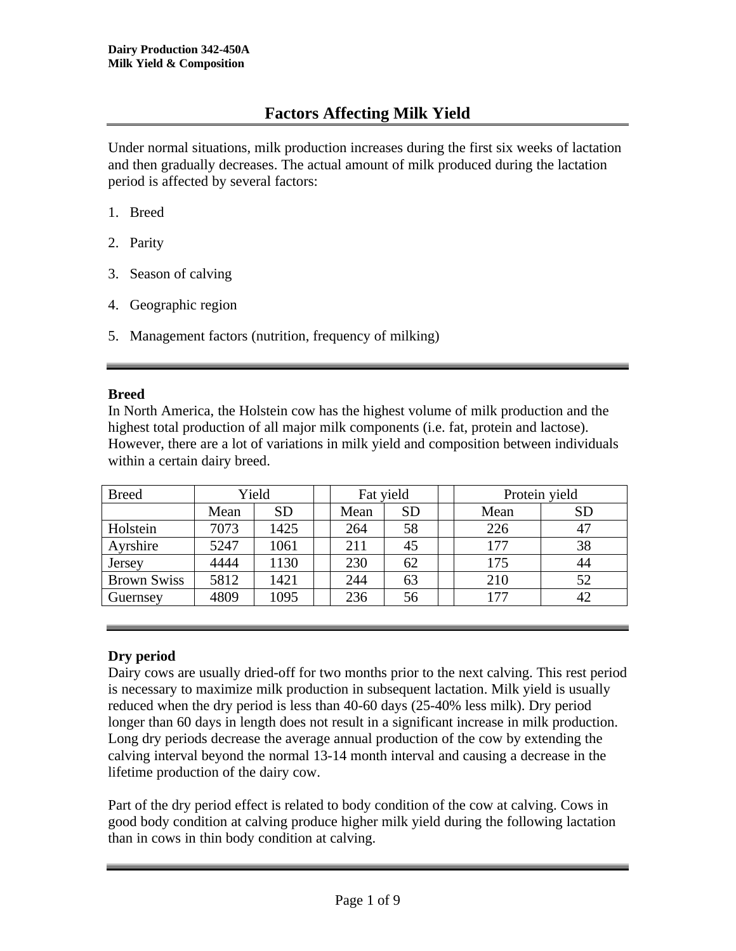# **Factors Affecting Milk Yield**

Under normal situations, milk production increases during the first six weeks of lactation and then gradually decreases. The actual amount of milk produced during the lactation period is affected by several factors:

- 1. Breed
- 2. Parity
- 3. Season of calving
- 4. Geographic region
- 5. Management factors (nutrition, frequency of milking)

## **Breed**

In North America, the Holstein cow has the highest volume of milk production and the highest total production of all major milk components (i.e. fat, protein and lactose). However, there are a lot of variations in milk yield and composition between individuals within a certain dairy breed.

| <b>Breed</b>       |      | Yield     |  | Fat yield |           | Protein yield |           |  |
|--------------------|------|-----------|--|-----------|-----------|---------------|-----------|--|
|                    | Mean | <b>SD</b> |  | Mean      | <b>SD</b> | Mean          | <b>SD</b> |  |
| Holstein           | 7073 | 1425      |  | 264       | 58        | 226           | 47        |  |
| Ayrshire           | 5247 | 1061      |  | 211       | 45        | 177           | 38        |  |
| Jersey             | 4444 | 1130      |  | 230       | 62        | 175           | 44        |  |
| <b>Brown Swiss</b> | 5812 | 1421      |  | 244       | 63        | 210           | 52        |  |
| Guernsey           | 4809 | 1095      |  | 236       | 56        | 177           | 42        |  |

# **Dry period**

Dairy cows are usually dried-off for two months prior to the next calving. This rest period is necessary to maximize milk production in subsequent lactation. Milk yield is usually reduced when the dry period is less than 40-60 days (25-40% less milk). Dry period longer than 60 days in length does not result in a significant increase in milk production. Long dry periods decrease the average annual production of the cow by extending the calving interval beyond the normal 13-14 month interval and causing a decrease in the lifetime production of the dairy cow.

Part of the dry period effect is related to body condition of the cow at calving. Cows in good body condition at calving produce higher milk yield during the following lactation than in cows in thin body condition at calving.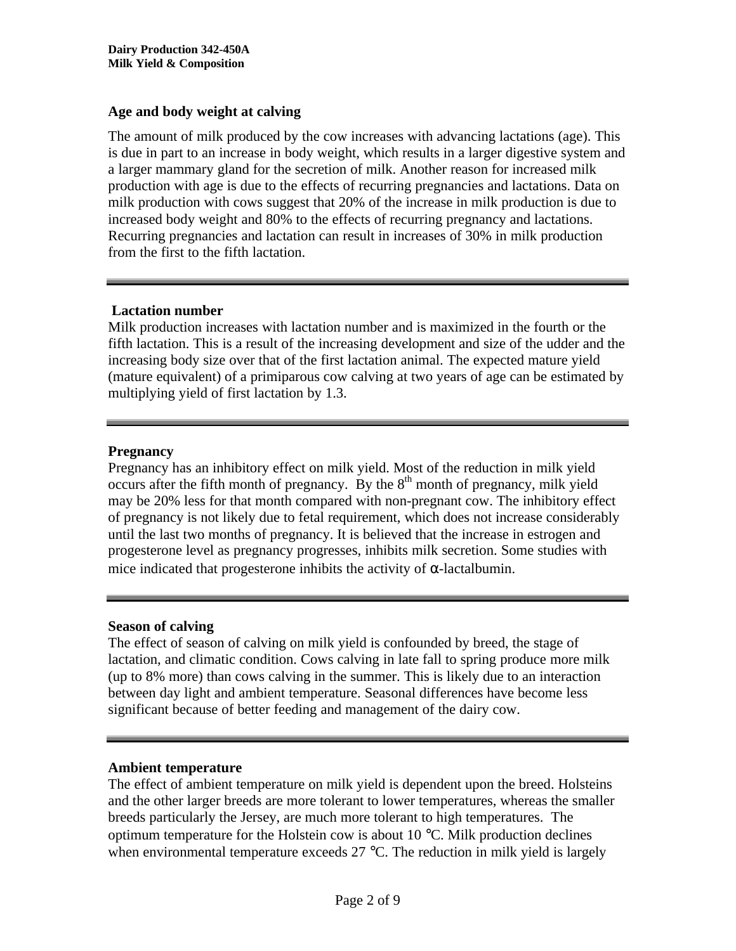## **Age and body weight at calving**

The amount of milk produced by the cow increases with advancing lactations (age). This is due in part to an increase in body weight, which results in a larger digestive system and a larger mammary gland for the secretion of milk. Another reason for increased milk production with age is due to the effects of recurring pregnancies and lactations. Data on milk production with cows suggest that 20% of the increase in milk production is due to increased body weight and 80% to the effects of recurring pregnancy and lactations. Recurring pregnancies and lactation can result in increases of 30% in milk production from the first to the fifth lactation.

## **Lactation number**

Milk production increases with lactation number and is maximized in the fourth or the fifth lactation. This is a result of the increasing development and size of the udder and the increasing body size over that of the first lactation animal. The expected mature yield (mature equivalent) of a primiparous cow calving at two years of age can be estimated by multiplying yield of first lactation by 1.3.

## **Pregnancy**

Pregnancy has an inhibitory effect on milk yield. Most of the reduction in milk yield occurs after the fifth month of pregnancy. By the  $8<sup>th</sup>$  month of pregnancy, milk yield may be 20% less for that month compared with non-pregnant cow. The inhibitory effect of pregnancy is not likely due to fetal requirement, which does not increase considerably until the last two months of pregnancy. It is believed that the increase in estrogen and progesterone level as pregnancy progresses, inhibits milk secretion. Some studies with mice indicated that progesterone inhibits the activity of  $\alpha$ -lactalbumin.

## **Season of calving**

The effect of season of calving on milk yield is confounded by breed, the stage of lactation, and climatic condition. Cows calving in late fall to spring produce more milk (up to 8% more) than cows calving in the summer. This is likely due to an interaction between day light and ambient temperature. Seasonal differences have become less significant because of better feeding and management of the dairy cow.

## **Ambient temperature**

The effect of ambient temperature on milk yield is dependent upon the breed. Holsteins and the other larger breeds are more tolerant to lower temperatures, whereas the smaller breeds particularly the Jersey, are much more tolerant to high temperatures. The optimum temperature for the Holstein cow is about 10 °C. Milk production declines when environmental temperature exceeds 27 °C. The reduction in milk yield is largely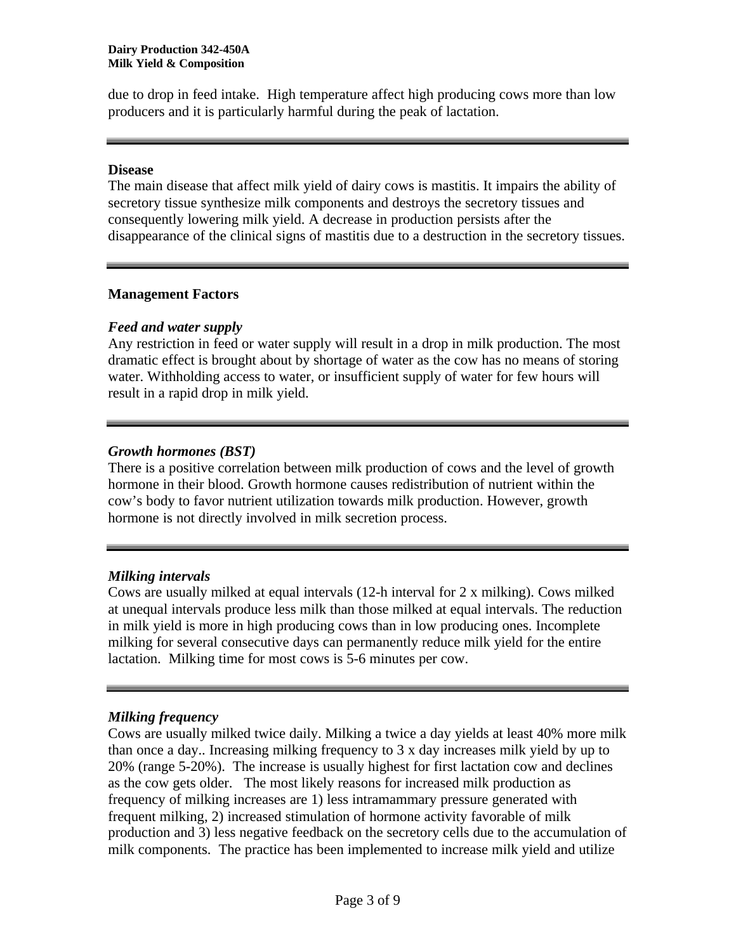due to drop in feed intake. High temperature affect high producing cows more than low producers and it is particularly harmful during the peak of lactation.

#### **Disease**

The main disease that affect milk yield of dairy cows is mastitis. It impairs the ability of secretory tissue synthesize milk components and destroys the secretory tissues and consequently lowering milk yield. A decrease in production persists after the disappearance of the clinical signs of mastitis due to a destruction in the secretory tissues.

## **Management Factors**

## *Feed and water supply*

Any restriction in feed or water supply will result in a drop in milk production. The most dramatic effect is brought about by shortage of water as the cow has no means of storing water. Withholding access to water, or insufficient supply of water for few hours will result in a rapid drop in milk yield.

## *Growth hormones (BST)*

There is a positive correlation between milk production of cows and the level of growth hormone in their blood. Growth hormone causes redistribution of nutrient within the cow's body to favor nutrient utilization towards milk production. However, growth hormone is not directly involved in milk secretion process.

## *Milking intervals*

Cows are usually milked at equal intervals (12-h interval for 2 x milking). Cows milked at unequal intervals produce less milk than those milked at equal intervals. The reduction in milk yield is more in high producing cows than in low producing ones. Incomplete milking for several consecutive days can permanently reduce milk yield for the entire lactation. Milking time for most cows is 5-6 minutes per cow.

## *Milking frequency*

Cows are usually milked twice daily. Milking a twice a day yields at least 40% more milk than once a day.. Increasing milking frequency to 3 x day increases milk yield by up to 20% (range 5-20%). The increase is usually highest for first lactation cow and declines as the cow gets older. The most likely reasons for increased milk production as frequency of milking increases are 1) less intramammary pressure generated with frequent milking, 2) increased stimulation of hormone activity favorable of milk production and 3) less negative feedback on the secretory cells due to the accumulation of milk components. The practice has been implemented to increase milk yield and utilize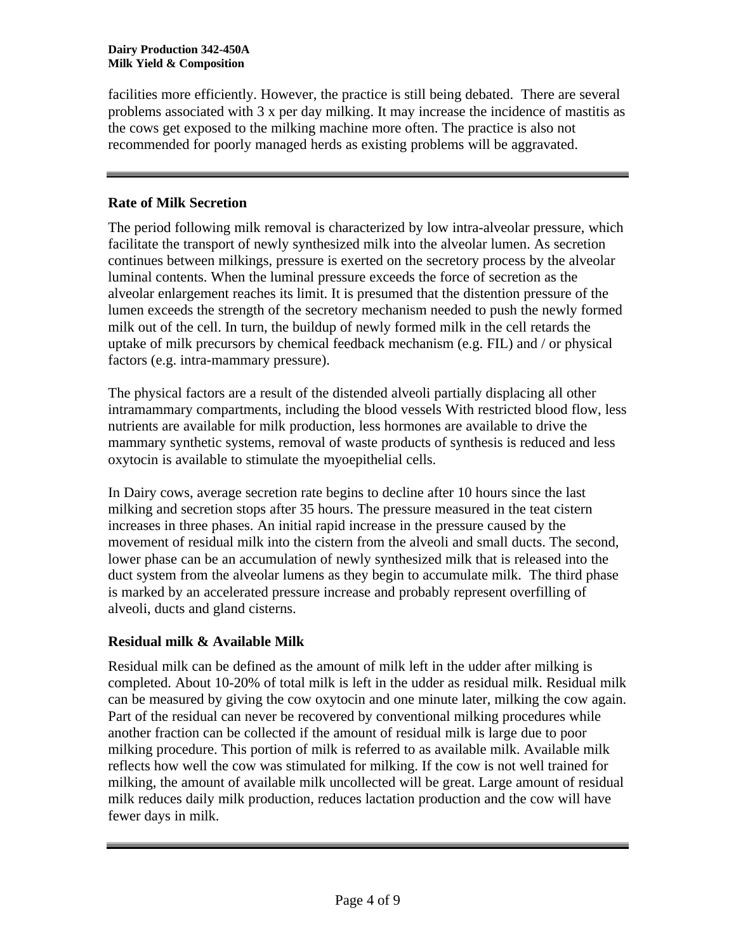facilities more efficiently. However, the practice is still being debated. There are several problems associated with 3 x per day milking. It may increase the incidence of mastitis as the cows get exposed to the milking machine more often. The practice is also not recommended for poorly managed herds as existing problems will be aggravated.

## **Rate of Milk Secretion**

The period following milk removal is characterized by low intra-alveolar pressure, which facilitate the transport of newly synthesized milk into the alveolar lumen. As secretion continues between milkings, pressure is exerted on the secretory process by the alveolar luminal contents. When the luminal pressure exceeds the force of secretion as the alveolar enlargement reaches its limit. It is presumed that the distention pressure of the lumen exceeds the strength of the secretory mechanism needed to push the newly formed milk out of the cell. In turn, the buildup of newly formed milk in the cell retards the uptake of milk precursors by chemical feedback mechanism (e.g. FIL) and / or physical factors (e.g. intra-mammary pressure).

The physical factors are a result of the distended alveoli partially displacing all other intramammary compartments, including the blood vessels With restricted blood flow, less nutrients are available for milk production, less hormones are available to drive the mammary synthetic systems, removal of waste products of synthesis is reduced and less oxytocin is available to stimulate the myoepithelial cells.

In Dairy cows, average secretion rate begins to decline after 10 hours since the last milking and secretion stops after 35 hours. The pressure measured in the teat cistern increases in three phases. An initial rapid increase in the pressure caused by the movement of residual milk into the cistern from the alveoli and small ducts. The second, lower phase can be an accumulation of newly synthesized milk that is released into the duct system from the alveolar lumens as they begin to accumulate milk. The third phase is marked by an accelerated pressure increase and probably represent overfilling of alveoli, ducts and gland cisterns.

# **Residual milk & Available Milk**

Residual milk can be defined as the amount of milk left in the udder after milking is completed. About 10-20% of total milk is left in the udder as residual milk. Residual milk can be measured by giving the cow oxytocin and one minute later, milking the cow again. Part of the residual can never be recovered by conventional milking procedures while another fraction can be collected if the amount of residual milk is large due to poor milking procedure. This portion of milk is referred to as available milk. Available milk reflects how well the cow was stimulated for milking. If the cow is not well trained for milking, the amount of available milk uncollected will be great. Large amount of residual milk reduces daily milk production, reduces lactation production and the cow will have fewer days in milk.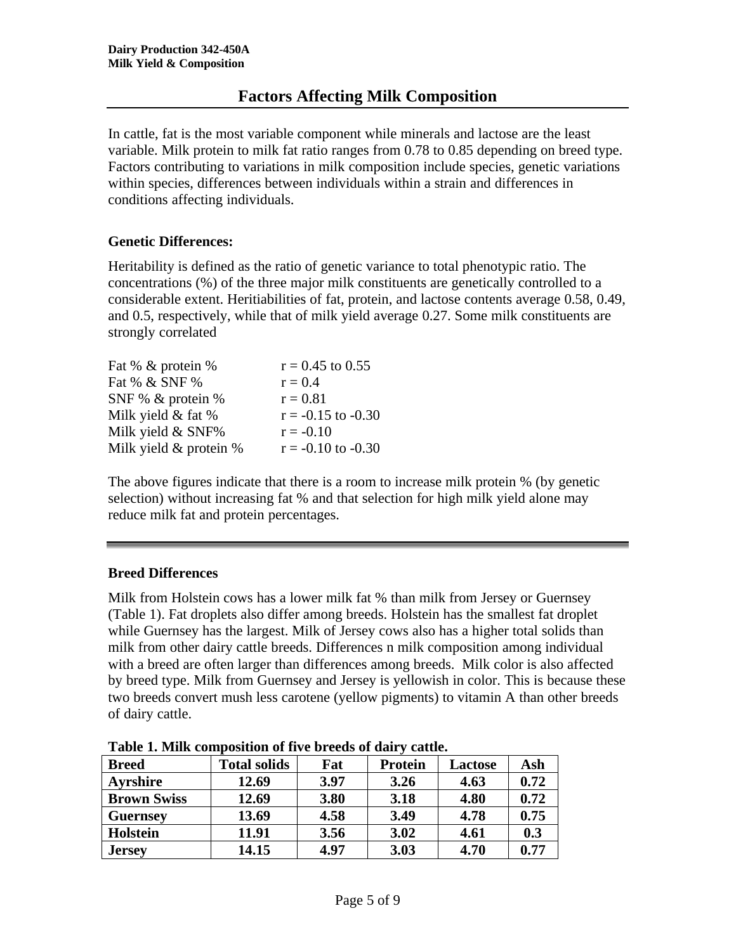In cattle, fat is the most variable component while minerals and lactose are the least variable. Milk protein to milk fat ratio ranges from 0.78 to 0.85 depending on breed type. Factors contributing to variations in milk composition include species, genetic variations within species, differences between individuals within a strain and differences in conditions affecting individuals.

# **Genetic Differences:**

Heritability is defined as the ratio of genetic variance to total phenotypic ratio. The concentrations (%) of the three major milk constituents are genetically controlled to a considerable extent. Heritiabilities of fat, protein, and lactose contents average 0.58, 0.49, and 0.5, respectively, while that of milk yield average 0.27. Some milk constituents are strongly correlated

| Fat % & protein %          | $r = 0.45$ to 0.55     |
|----------------------------|------------------------|
| Fat % & SNF %              | $r = 0.4$              |
| SNF % & protein %          | $r = 0.81$             |
| Milk yield $&$ fat $%$     | $r = -0.15$ to $-0.30$ |
| Milk yield & SNF%          | $r = -0.10$            |
| Milk yield $&$ protein $%$ | $r = -0.10$ to $-0.30$ |

The above figures indicate that there is a room to increase milk protein % (by genetic selection) without increasing fat % and that selection for high milk yield alone may reduce milk fat and protein percentages.

## **Breed Differences**

Milk from Holstein cows has a lower milk fat % than milk from Jersey or Guernsey (Table 1). Fat droplets also differ among breeds. Holstein has the smallest fat droplet while Guernsey has the largest. Milk of Jersey cows also has a higher total solids than milk from other dairy cattle breeds. Differences n milk composition among individual with a breed are often larger than differences among breeds. Milk color is also affected by breed type. Milk from Guernsey and Jersey is yellowish in color. This is because these two breeds convert mush less carotene (yellow pigments) to vitamin A than other breeds of dairy cattle.

| <b>Breed</b>       | <b>Total solids</b> | Fat  | <b>Protein</b> | <b>Lactose</b> | Ash  |
|--------------------|---------------------|------|----------------|----------------|------|
| <b>Ayrshire</b>    | 12.69               | 3.97 | 3.26           | 4.63           | 0.72 |
| <b>Brown Swiss</b> | 12.69               | 3.80 | 3.18           | 4.80           | 0.72 |
| <b>Guernsey</b>    | 13.69               | 4.58 | 3.49           | 4.78           | 0.75 |
| <b>Holstein</b>    | 11.91               | 3.56 | 3.02           | 4.61           | 0.3  |
| <b>Jersey</b>      | 14.15               | 4.97 | 3.03           | 4.70           | 0.77 |

**Table 1. Milk composition of five breeds of dairy cattle.**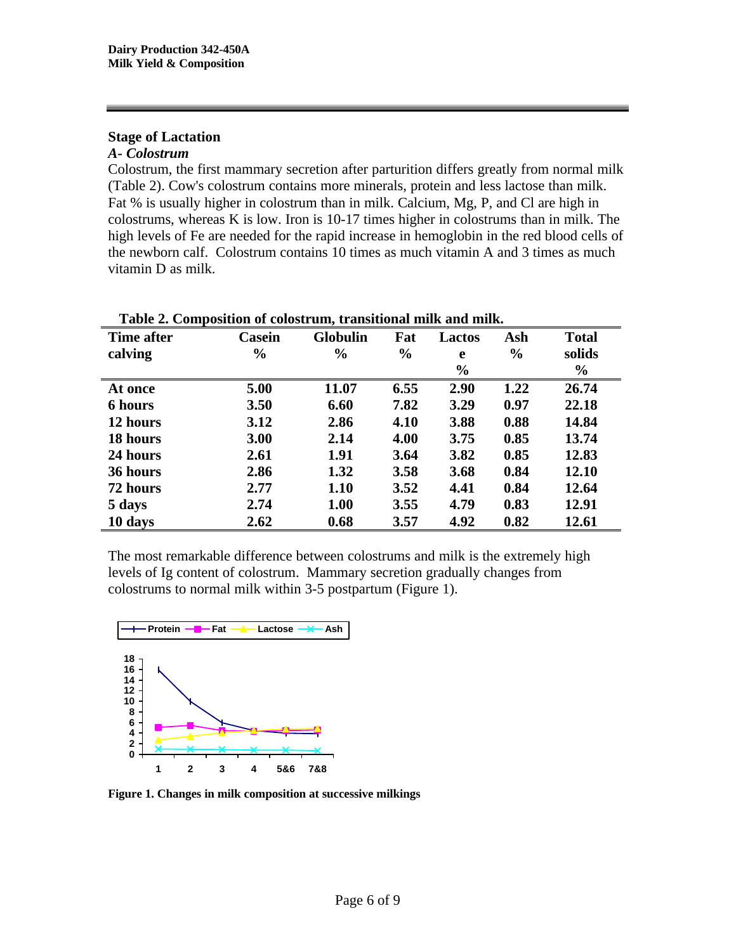## **Stage of Lactation**

#### *A- Colostrum*

Colostrum, the first mammary secretion after parturition differs greatly from normal milk (Table 2). Cow's colostrum contains more minerals, protein and less lactose than milk. Fat % is usually higher in colostrum than in milk. Calcium, Mg, P, and Cl are high in colostrums, whereas K is low. Iron is 10-17 times higher in colostrums than in milk. The high levels of Fe are needed for the rapid increase in hemoglobin in the red blood cells of the newborn calf. Colostrum contains 10 times as much vitamin A and 3 times as much vitamin D as milk.

| Time after     | Casein        | <b>Globulin</b> | Fat           | Lactos        | Ash           | <b>Total</b>  |
|----------------|---------------|-----------------|---------------|---------------|---------------|---------------|
| calving        | $\frac{6}{6}$ | $\frac{0}{0}$   | $\frac{6}{6}$ | e             | $\frac{0}{0}$ | solids        |
|                |               |                 |               | $\frac{6}{6}$ |               | $\frac{6}{6}$ |
| At once        | 5.00          | 11.07           | 6.55          | 2.90          | 1.22          | 26.74         |
| <b>6 hours</b> | 3.50          | 6.60            | 7.82          | 3.29          | 0.97          | 22.18         |
| 12 hours       | 3.12          | 2.86            | 4.10          | 3.88          | 0.88          | 14.84         |
| 18 hours       | 3.00          | 2.14            | 4.00          | 3.75          | 0.85          | 13.74         |
| 24 hours       | 2.61          | 1.91            | 3.64          | 3.82          | 0.85          | 12.83         |
| 36 hours       | 2.86          | 1.32            | 3.58          | 3.68          | 0.84          | 12.10         |
| 72 hours       | 2.77          | 1.10            | 3.52          | 4.41          | 0.84          | 12.64         |
| 5 days         | 2.74          | 1.00            | 3.55          | 4.79          | 0.83          | 12.91         |
| 10 days        | 2.62          | 0.68            | 3.57          | 4.92          | 0.82          | 12.61         |

The most remarkable difference between colostrums and milk is the extremely high levels of Ig content of colostrum. Mammary secretion gradually changes from colostrums to normal milk within 3-5 postpartum (Figure 1).



**Figure 1. Changes in milk composition at successive milkings**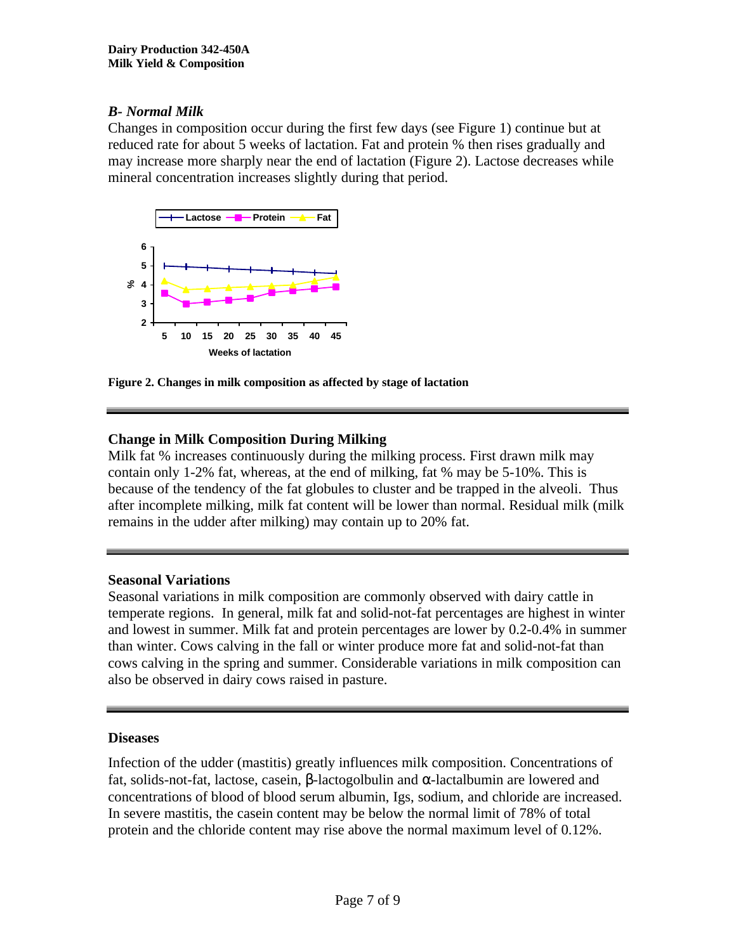## *B- Normal Milk*

Changes in composition occur during the first few days (see Figure 1) continue but at reduced rate for about 5 weeks of lactation. Fat and protein % then rises gradually and may increase more sharply near the end of lactation (Figure 2). Lactose decreases while mineral concentration increases slightly during that period.



**Figure 2. Changes in milk composition as affected by stage of lactation**

## **Change in Milk Composition During Milking**

Milk fat % increases continuously during the milking process. First drawn milk may contain only 1-2% fat, whereas, at the end of milking, fat % may be 5-10%. This is because of the tendency of the fat globules to cluster and be trapped in the alveoli. Thus after incomplete milking, milk fat content will be lower than normal. Residual milk (milk remains in the udder after milking) may contain up to 20% fat.

## **Seasonal Variations**

Seasonal variations in milk composition are commonly observed with dairy cattle in temperate regions. In general, milk fat and solid-not-fat percentages are highest in winter and lowest in summer. Milk fat and protein percentages are lower by 0.2-0.4% in summer than winter. Cows calving in the fall or winter produce more fat and solid-not-fat than cows calving in the spring and summer. Considerable variations in milk composition can also be observed in dairy cows raised in pasture.

#### **Diseases**

Infection of the udder (mastitis) greatly influences milk composition. Concentrations of fat, solids-not-fat, lactose, casein, β-lactogolbulin and α-lactalbumin are lowered and concentrations of blood of blood serum albumin, Igs, sodium, and chloride are increased. In severe mastitis, the casein content may be below the normal limit of 78% of total protein and the chloride content may rise above the normal maximum level of 0.12%.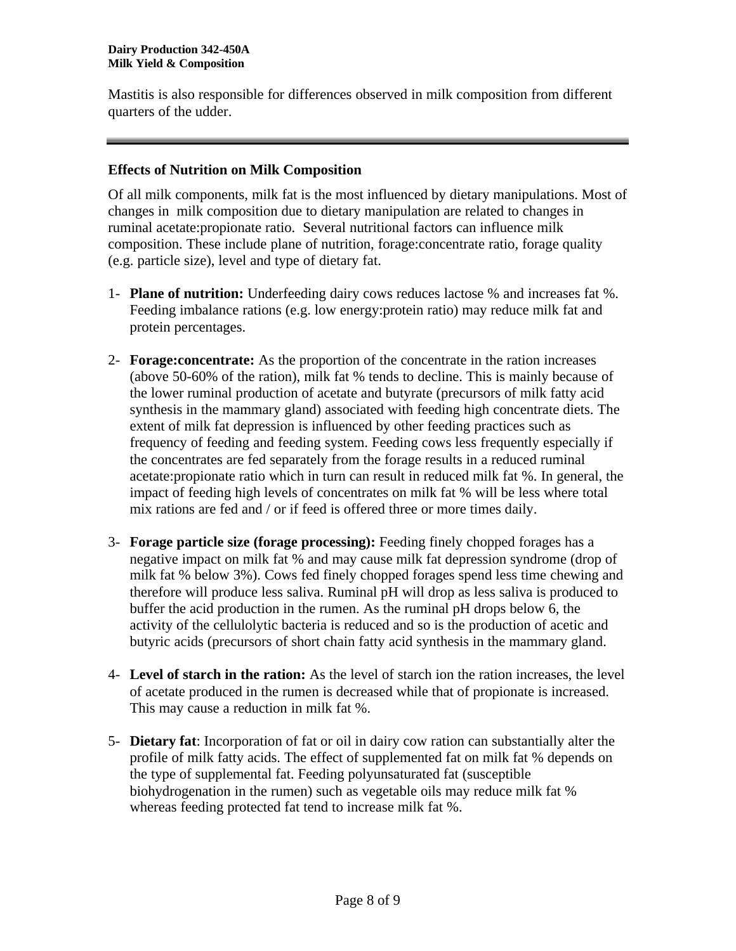Mastitis is also responsible for differences observed in milk composition from different quarters of the udder.

## **Effects of Nutrition on Milk Composition**

Of all milk components, milk fat is the most influenced by dietary manipulations. Most of changes in milk composition due to dietary manipulation are related to changes in ruminal acetate:propionate ratio. Several nutritional factors can influence milk composition. These include plane of nutrition, forage:concentrate ratio, forage quality (e.g. particle size), level and type of dietary fat.

- 1- **Plane of nutrition:** Underfeeding dairy cows reduces lactose % and increases fat %. Feeding imbalance rations (e.g. low energy:protein ratio) may reduce milk fat and protein percentages.
- 2- **Forage:concentrate:** As the proportion of the concentrate in the ration increases (above 50-60% of the ration), milk fat % tends to decline. This is mainly because of the lower ruminal production of acetate and butyrate (precursors of milk fatty acid synthesis in the mammary gland) associated with feeding high concentrate diets. The extent of milk fat depression is influenced by other feeding practices such as frequency of feeding and feeding system. Feeding cows less frequently especially if the concentrates are fed separately from the forage results in a reduced ruminal acetate:propionate ratio which in turn can result in reduced milk fat %. In general, the impact of feeding high levels of concentrates on milk fat % will be less where total mix rations are fed and / or if feed is offered three or more times daily.
- 3- **Forage particle size (forage processing):** Feeding finely chopped forages has a negative impact on milk fat % and may cause milk fat depression syndrome (drop of milk fat % below 3%). Cows fed finely chopped forages spend less time chewing and therefore will produce less saliva. Ruminal pH will drop as less saliva is produced to buffer the acid production in the rumen. As the ruminal pH drops below 6, the activity of the cellulolytic bacteria is reduced and so is the production of acetic and butyric acids (precursors of short chain fatty acid synthesis in the mammary gland.
- 4- **Level of starch in the ration:** As the level of starch ion the ration increases, the level of acetate produced in the rumen is decreased while that of propionate is increased. This may cause a reduction in milk fat %.
- 5- **Dietary fat**: Incorporation of fat or oil in dairy cow ration can substantially alter the profile of milk fatty acids. The effect of supplemented fat on milk fat % depends on the type of supplemental fat. Feeding polyunsaturated fat (susceptible biohydrogenation in the rumen) such as vegetable oils may reduce milk fat % whereas feeding protected fat tend to increase milk fat %.